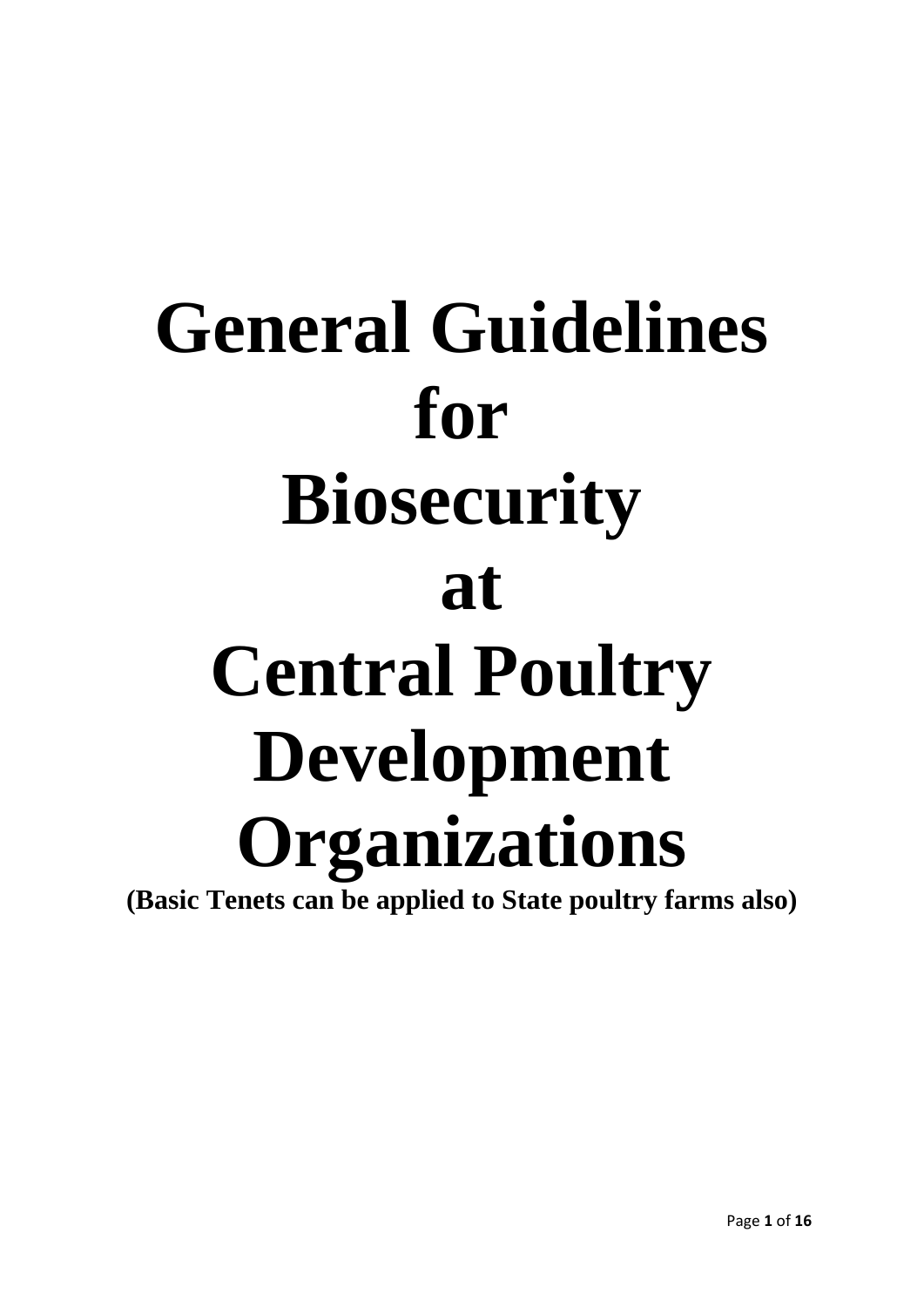# **General Guidelines for Biosecurity at Central Poultry Development Organizations (Basic Tenets can be applied to State poultry farms also)**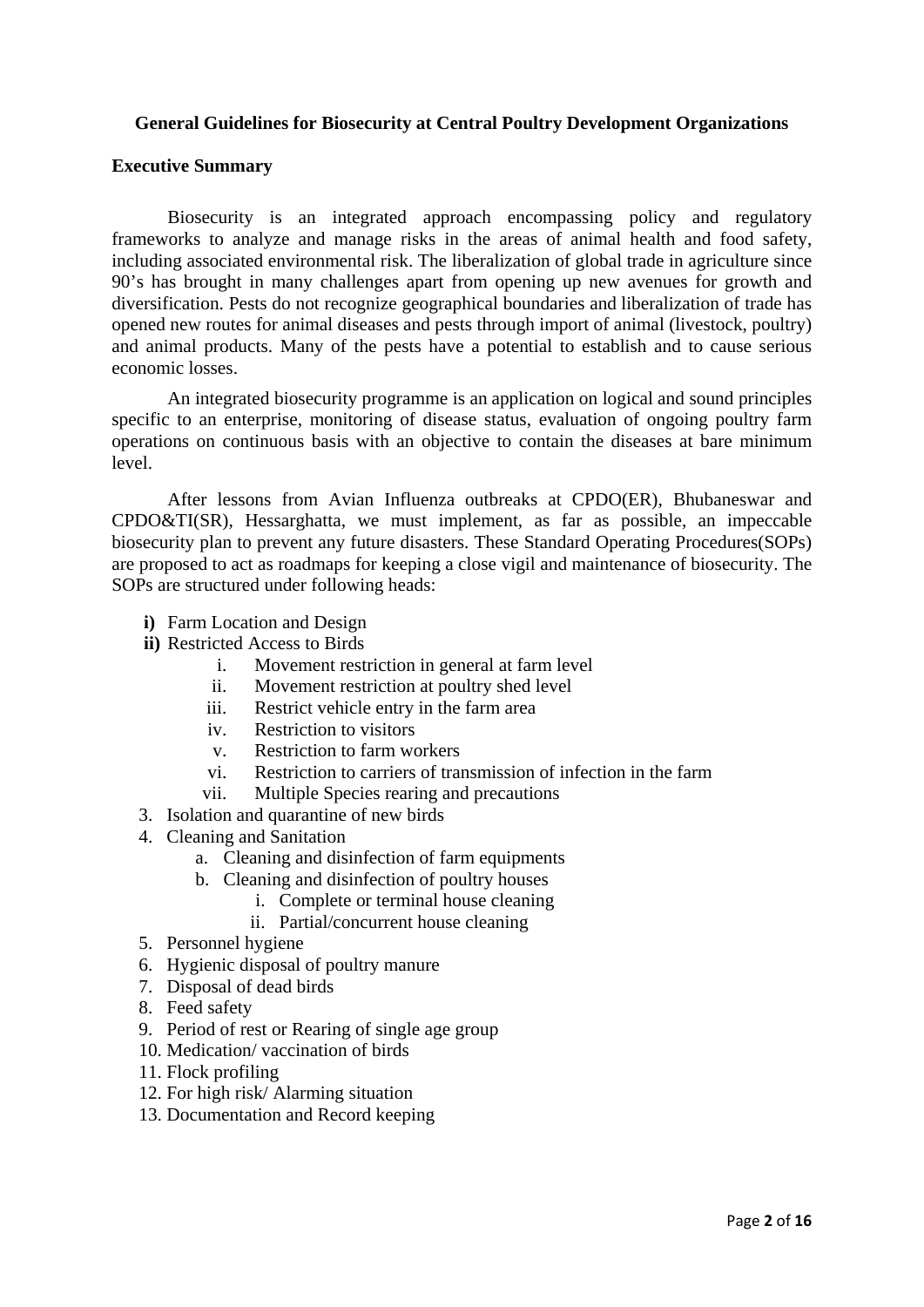## **General Guidelines for Biosecurity at Central Poultry Development Organizations**

#### **Executive Summary**

Biosecurity is an integrated approach encompassing policy and regulatory frameworks to analyze and manage risks in the areas of animal health and food safety, including associated environmental risk. The liberalization of global trade in agriculture since 90's has brought in many challenges apart from opening up new avenues for growth and diversification. Pests do not recognize geographical boundaries and liberalization of trade has opened new routes for animal diseases and pests through import of animal (livestock, poultry) and animal products. Many of the pests have a potential to establish and to cause serious economic losses.

An integrated biosecurity programme is an application on logical and sound principles specific to an enterprise, monitoring of disease status, evaluation of ongoing poultry farm operations on continuous basis with an objective to contain the diseases at bare minimum level.

 After lessons from Avian Influenza outbreaks at CPDO(ER), Bhubaneswar and CPDO&TI(SR), Hessarghatta, we must implement, as far as possible, an impeccable biosecurity plan to prevent any future disasters. These Standard Operating Procedures(SOPs) are proposed to act as roadmaps for keeping a close vigil and maintenance of biosecurity. The SOPs are structured under following heads:

- **i)** Farm Location and Design
- **ii)** Restricted Access to Birds
	- i. Movement restriction in general at farm level
	- ii. Movement restriction at poultry shed level
	- iii. Restrict vehicle entry in the farm area
	- iv. Restriction to visitors
	- v. Restriction to farm workers
	- vi. Restriction to carriers of transmission of infection in the farm
	- vii. Multiple Species rearing and precautions
- 3. Isolation and quarantine of new birds
- 4. Cleaning and Sanitation
	- a. Cleaning and disinfection of farm equipments
	- b. Cleaning and disinfection of poultry houses
		- i. Complete or terminal house cleaning
		- ii. Partial/concurrent house cleaning
- 5. Personnel hygiene
- 6. Hygienic disposal of poultry manure
- 7. Disposal of dead birds
- 8. Feed safety
- 9. Period of rest or Rearing of single age group
- 10. Medication/ vaccination of birds
- 11. Flock profiling
- 12. For high risk/ Alarming situation
- 13. Documentation and Record keeping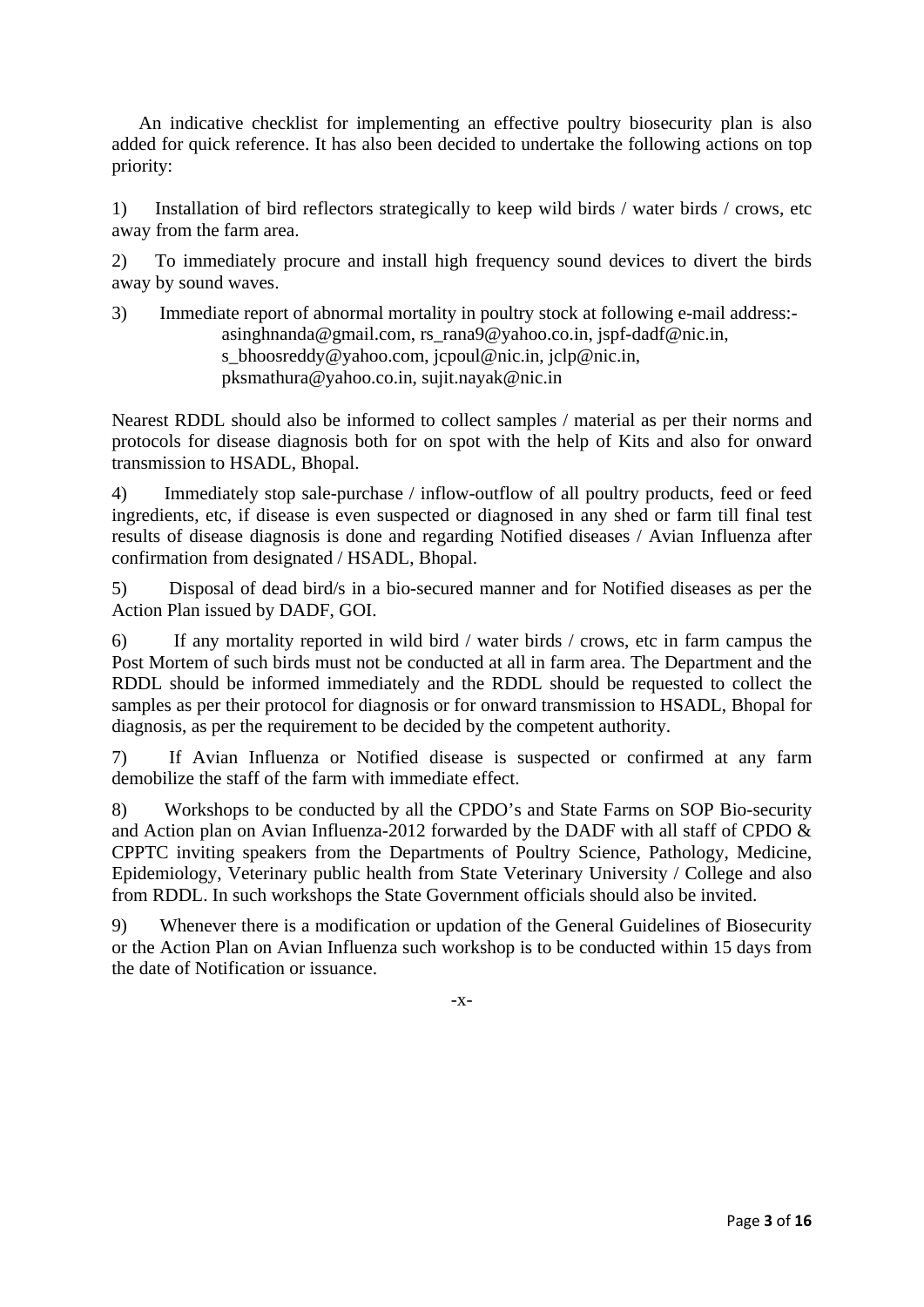An indicative checklist for implementing an effective poultry biosecurity plan is also added for quick reference. It has also been decided to undertake the following actions on top priority:

1) Installation of bird reflectors strategically to keep wild birds / water birds / crows, etc away from the farm area.

2) To immediately procure and install high frequency sound devices to divert the birds away by sound waves.

3) Immediate report of abnormal mortality in poultry stock at following e-mail address: [asinghnanda@gmail.com,](javascript:main.compose() [rs\\_rana9@yahoo.co.in](mailto:rs_rana9@yahoo.co.in/), [jspf-dadf@nic.in,](mailto:jspf-dadf@nic.in) s bhoosreddy@yahoo.com, j[cpoul@nic.in,](javascript:main.compose() [jclp@nic.in,](javascript:main.compose() [pksmathura@yahoo.co.in,](javascript:main.compose() [sujit.nayak@nic.in](javascript:main.compose()

Nearest RDDL should also be informed to collect samples / material as per their norms and protocols for disease diagnosis both for on spot with the help of Kits and also for onward transmission to HSADL, Bhopal.

4) Immediately stop sale-purchase / inflow-outflow of all poultry products, feed or feed ingredients, etc, if disease is even suspected or diagnosed in any shed or farm till final test results of disease diagnosis is done and regarding Notified diseases / Avian Influenza after confirmation from designated / HSADL, Bhopal.

5) Disposal of dead bird/s in a bio-secured manner and for Notified diseases as per the Action Plan issued by DADF, GOI.

6) If any mortality reported in wild bird / water birds / crows, etc in farm campus the Post Mortem of such birds must not be conducted at all in farm area. The Department and the RDDL should be informed immediately and the RDDL should be requested to collect the samples as per their protocol for diagnosis or for onward transmission to HSADL, Bhopal for diagnosis, as per the requirement to be decided by the competent authority.

7) If Avian Influenza or Notified disease is suspected or confirmed at any farm demobilize the staff of the farm with immediate effect.

8) Workshops to be conducted by all the CPDO's and State Farms on SOP Bio-security and Action plan on Avian Influenza-2012 forwarded by the DADF with all staff of CPDO & CPPTC inviting speakers from the Departments of Poultry Science, Pathology, Medicine, Epidemiology, Veterinary public health from State Veterinary University / College and also from RDDL. In such workshops the State Government officials should also be invited.

9) Whenever there is a modification or updation of the General Guidelines of Biosecurity or the Action Plan on Avian Influenza such workshop is to be conducted within 15 days from the date of Notification or issuance.

-x-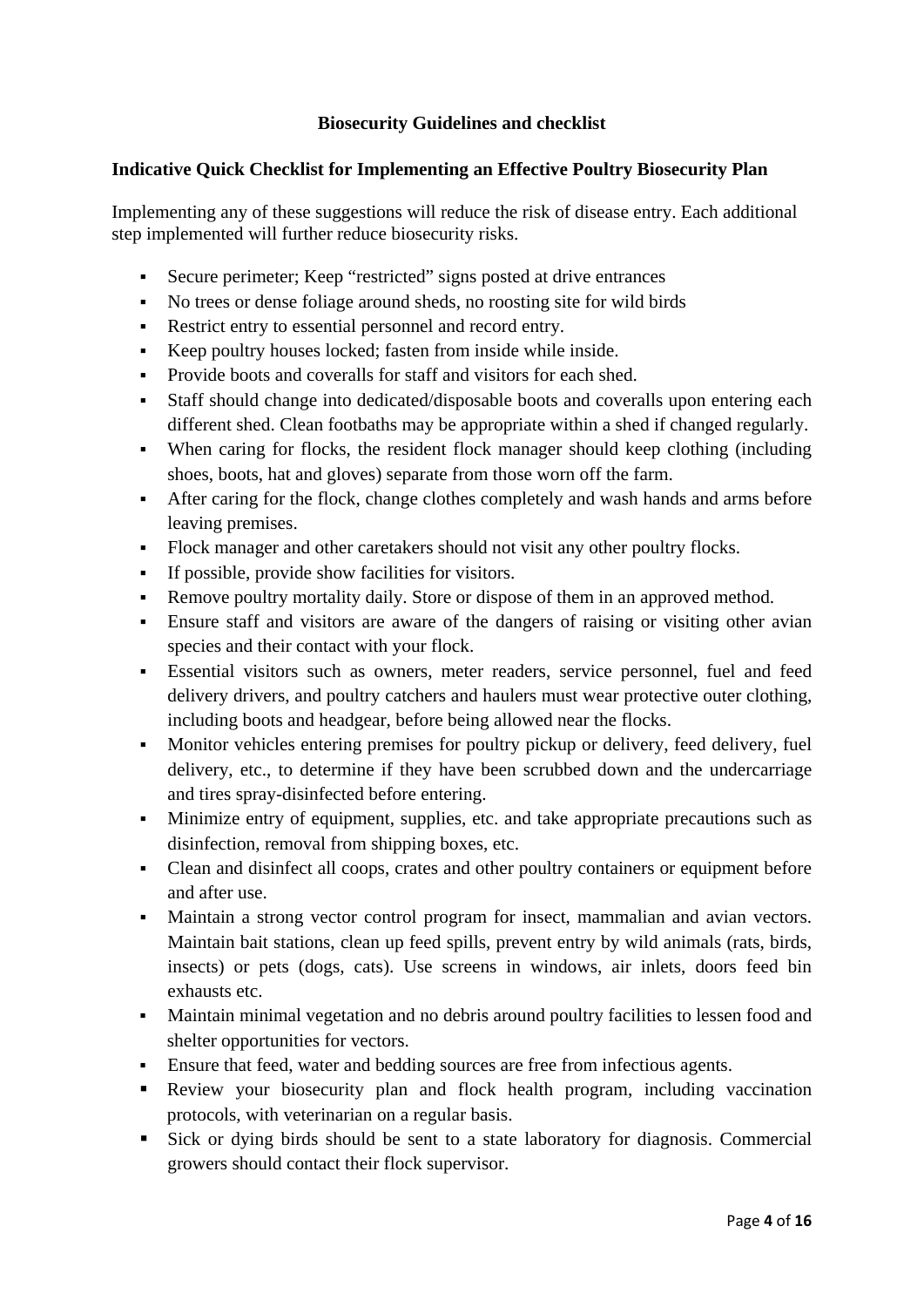# **Biosecurity Guidelines and checklist**

#### **Indicative Quick Checklist for Implementing an Effective Poultry Biosecurity Plan**

Implementing any of these suggestions will reduce the risk of disease entry. Each additional step implemented will further reduce biosecurity risks.

- Secure perimeter; Keep "restricted" signs posted at drive entrances
- No trees or dense foliage around sheds, no roosting site for wild birds
- Restrict entry to essential personnel and record entry.
- Keep poultry houses locked; fasten from inside while inside.
- Provide boots and coveralls for staff and visitors for each shed.
- Staff should change into dedicated/disposable boots and coveralls upon entering each different shed. Clean footbaths may be appropriate within a shed if changed regularly.
- When caring for flocks, the resident flock manager should keep clothing (including shoes, boots, hat and gloves) separate from those worn off the farm.
- After caring for the flock, change clothes completely and wash hands and arms before leaving premises.
- Flock manager and other caretakers should not visit any other poultry flocks.
- If possible, provide show facilities for visitors.
- Remove poultry mortality daily. Store or dispose of them in an approved method.
- Ensure staff and visitors are aware of the dangers of raising or visiting other avian species and their contact with your flock.
- Essential visitors such as owners, meter readers, service personnel, fuel and feed delivery drivers, and poultry catchers and haulers must wear protective outer clothing, including boots and headgear, before being allowed near the flocks.
- Monitor vehicles entering premises for poultry pickup or delivery, feed delivery, fuel delivery, etc., to determine if they have been scrubbed down and the undercarriage and tires spray-disinfected before entering.
- Minimize entry of equipment, supplies, etc. and take appropriate precautions such as disinfection, removal from shipping boxes, etc.
- Clean and disinfect all coops, crates and other poultry containers or equipment before and after use.
- Maintain a strong vector control program for insect, mammalian and avian vectors. Maintain bait stations, clean up feed spills, prevent entry by wild animals (rats, birds, insects) or pets (dogs, cats). Use screens in windows, air inlets, doors feed bin exhausts etc.
- Maintain minimal vegetation and no debris around poultry facilities to lessen food and shelter opportunities for vectors.
- Ensure that feed, water and bedding sources are free from infectious agents.
- Review your biosecurity plan and flock health program, including vaccination protocols, with veterinarian on a regular basis.
- Sick or dying birds should be sent to a state laboratory for diagnosis. Commercial growers should contact their flock supervisor.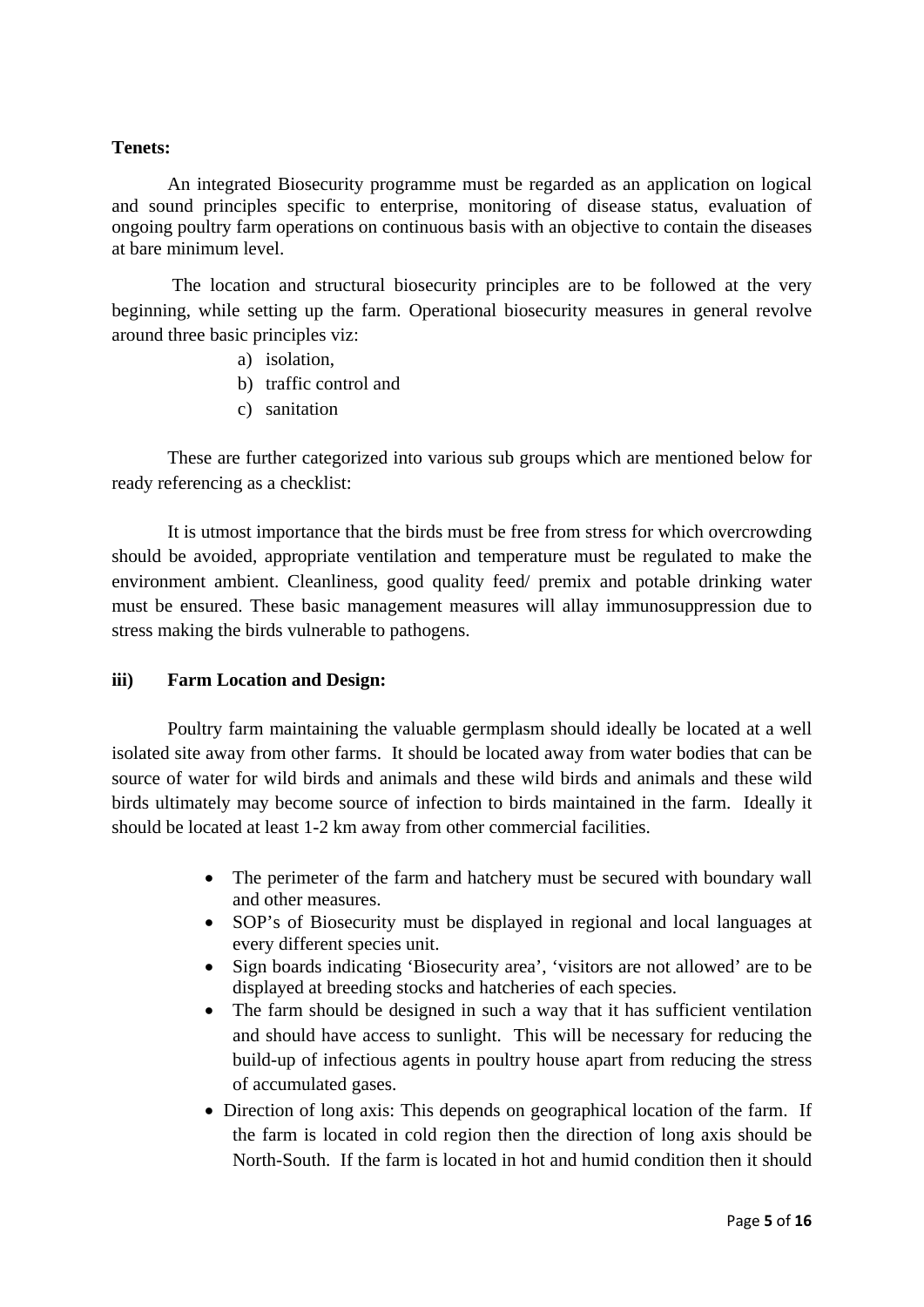#### **Tenets:**

An integrated Biosecurity programme must be regarded as an application on logical and sound principles specific to enterprise, monitoring of disease status, evaluation of ongoing poultry farm operations on continuous basis with an objective to contain the diseases at bare minimum level.

 The location and structural biosecurity principles are to be followed at the very beginning, while setting up the farm. Operational biosecurity measures in general revolve around three basic principles viz:

- a) isolation,
- b) traffic control and
- c) sanitation

These are further categorized into various sub groups which are mentioned below for ready referencing as a checklist:

 It is utmost importance that the birds must be free from stress for which overcrowding should be avoided, appropriate ventilation and temperature must be regulated to make the environment ambient. Cleanliness, good quality feed/ premix and potable drinking water must be ensured. These basic management measures will allay immunosuppression due to stress making the birds vulnerable to pathogens.

## **iii) Farm Location and Design:**

Poultry farm maintaining the valuable germplasm should ideally be located at a well isolated site away from other farms. It should be located away from water bodies that can be source of water for wild birds and animals and these wild birds and animals and these wild birds ultimately may become source of infection to birds maintained in the farm. Ideally it should be located at least 1-2 km away from other commercial facilities.

- The perimeter of the farm and hatchery must be secured with boundary wall and other measures.
- SOP's of Biosecurity must be displayed in regional and local languages at every different species unit.
- Sign boards indicating 'Biosecurity area', 'visitors are not allowed' are to be displayed at breeding stocks and hatcheries of each species.
- The farm should be designed in such a way that it has sufficient ventilation and should have access to sunlight. This will be necessary for reducing the build-up of infectious agents in poultry house apart from reducing the stress of accumulated gases.
- Direction of long axis: This depends on geographical location of the farm. If the farm is located in cold region then the direction of long axis should be North-South. If the farm is located in hot and humid condition then it should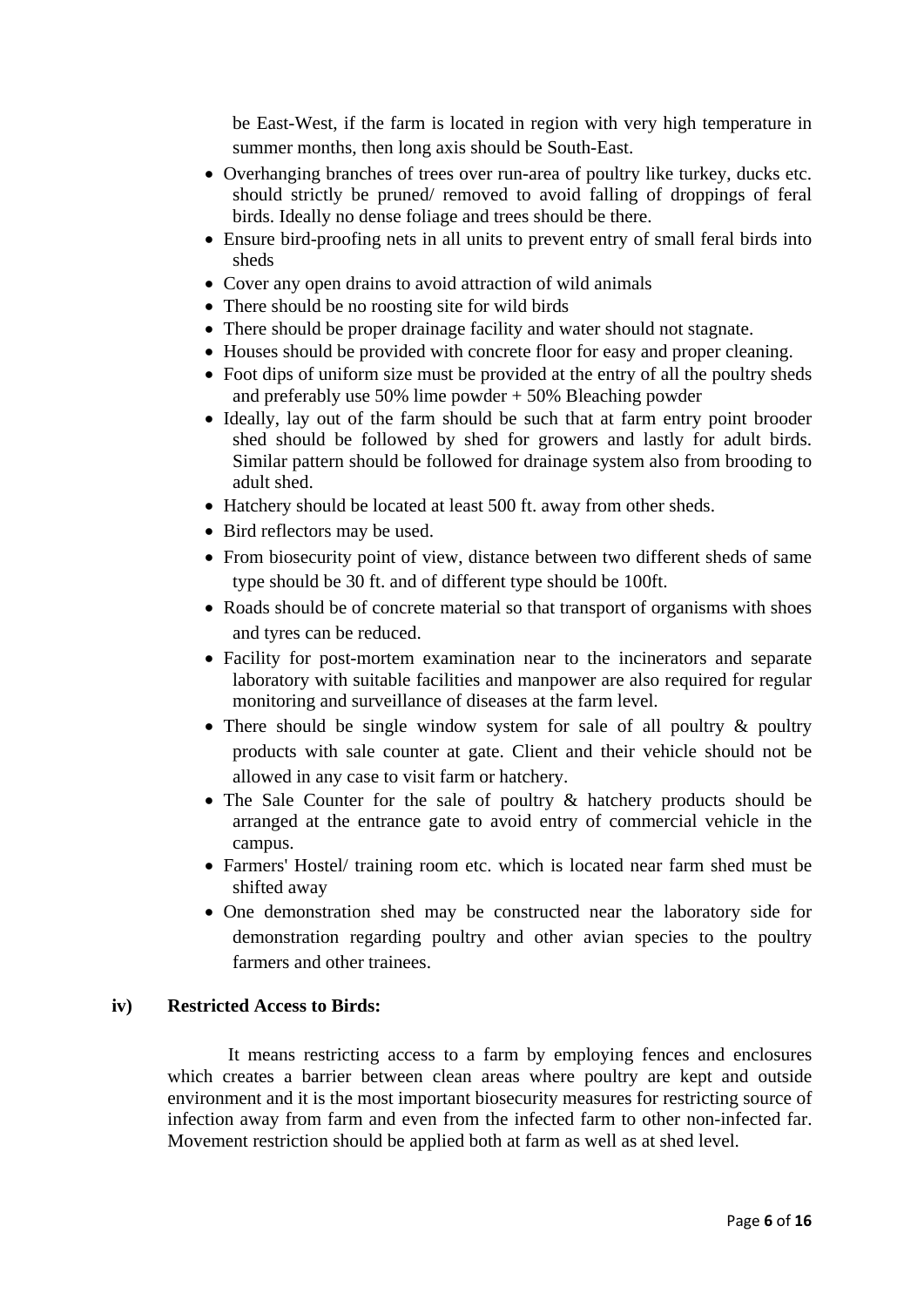be East-West, if the farm is located in region with very high temperature in summer months, then long axis should be South-East.

- Overhanging branches of trees over run-area of poultry like turkey, ducks etc. should strictly be pruned/ removed to avoid falling of droppings of feral birds. Ideally no dense foliage and trees should be there.
- Ensure bird-proofing nets in all units to prevent entry of small feral birds into sheds
- Cover any open drains to avoid attraction of wild animals
- There should be no roosting site for wild birds
- There should be proper drainage facility and water should not stagnate.
- Houses should be provided with concrete floor for easy and proper cleaning.
- Foot dips of uniform size must be provided at the entry of all the poultry sheds and preferably use  $50\%$  lime powder +  $50\%$  Bleaching powder
- Ideally, lay out of the farm should be such that at farm entry point brooder shed should be followed by shed for growers and lastly for adult birds. Similar pattern should be followed for drainage system also from brooding to adult shed.
- Hatchery should be located at least 500 ft. away from other sheds.
- Bird reflectors may be used.
- From biosecurity point of view, distance between two different sheds of same type should be 30 ft. and of different type should be 100ft.
- Roads should be of concrete material so that transport of organisms with shoes and tyres can be reduced.
- Facility for post-mortem examination near to the incinerators and separate laboratory with suitable facilities and manpower are also required for regular monitoring and surveillance of diseases at the farm level.
- There should be single window system for sale of all poultry & poultry products with sale counter at gate. Client and their vehicle should not be allowed in any case to visit farm or hatchery.
- The Sale Counter for the sale of poultry & hatchery products should be arranged at the entrance gate to avoid entry of commercial vehicle in the campus.
- Farmers' Hostel/ training room etc. which is located near farm shed must be shifted away
- One demonstration shed may be constructed near the laboratory side for demonstration regarding poultry and other avian species to the poultry farmers and other trainees.

#### **iv) Restricted Access to Birds:**

 It means restricting access to a farm by employing fences and enclosures which creates a barrier between clean areas where poultry are kept and outside environment and it is the most important biosecurity measures for restricting source of infection away from farm and even from the infected farm to other non-infected far. Movement restriction should be applied both at farm as well as at shed level.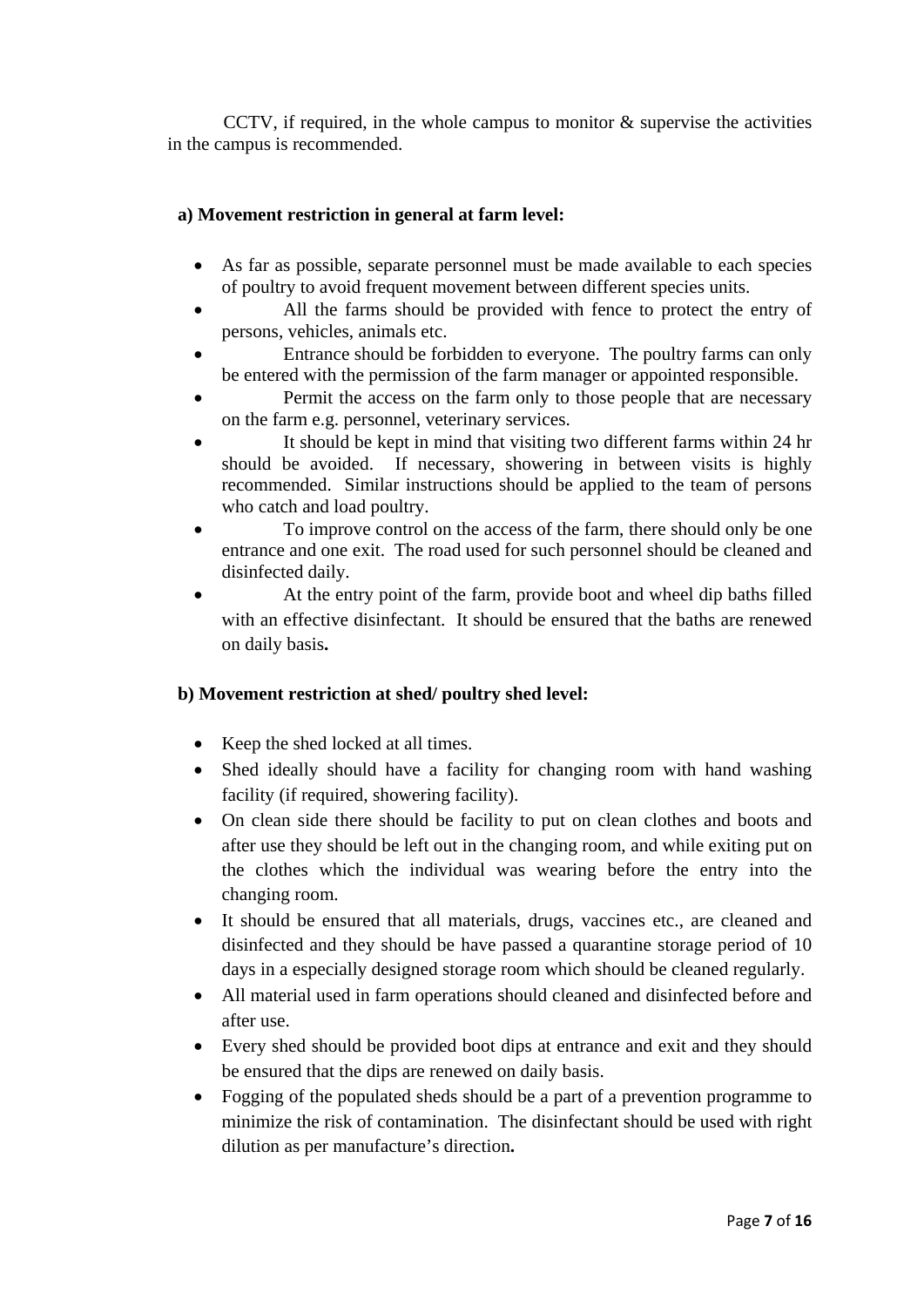CCTV, if required, in the whole campus to monitor & supervise the activities in the campus is recommended.

## **a) Movement restriction in general at farm level:**

- As far as possible, separate personnel must be made available to each species of poultry to avoid frequent movement between different species units.
- All the farms should be provided with fence to protect the entry of persons, vehicles, animals etc.
- Entrance should be forbidden to everyone. The poultry farms can only be entered with the permission of the farm manager or appointed responsible.
- Permit the access on the farm only to those people that are necessary on the farm e.g. personnel, veterinary services.
- It should be kept in mind that visiting two different farms within 24 hr should be avoided. If necessary, showering in between visits is highly recommended. Similar instructions should be applied to the team of persons who catch and load poultry.
- To improve control on the access of the farm, there should only be one entrance and one exit. The road used for such personnel should be cleaned and disinfected daily.
- At the entry point of the farm, provide boot and wheel dip baths filled with an effective disinfectant. It should be ensured that the baths are renewed on daily basis**.**

## **b) Movement restriction at shed/ poultry shed level:**

- Keep the shed locked at all times.
- Shed ideally should have a facility for changing room with hand washing facility (if required, showering facility).
- On clean side there should be facility to put on clean clothes and boots and after use they should be left out in the changing room, and while exiting put on the clothes which the individual was wearing before the entry into the changing room.
- It should be ensured that all materials, drugs, vaccines etc., are cleaned and disinfected and they should be have passed a quarantine storage period of 10 days in a especially designed storage room which should be cleaned regularly.
- All material used in farm operations should cleaned and disinfected before and after use.
- Every shed should be provided boot dips at entrance and exit and they should be ensured that the dips are renewed on daily basis.
- Fogging of the populated sheds should be a part of a prevention programme to minimize the risk of contamination. The disinfectant should be used with right dilution as per manufacture's direction**.**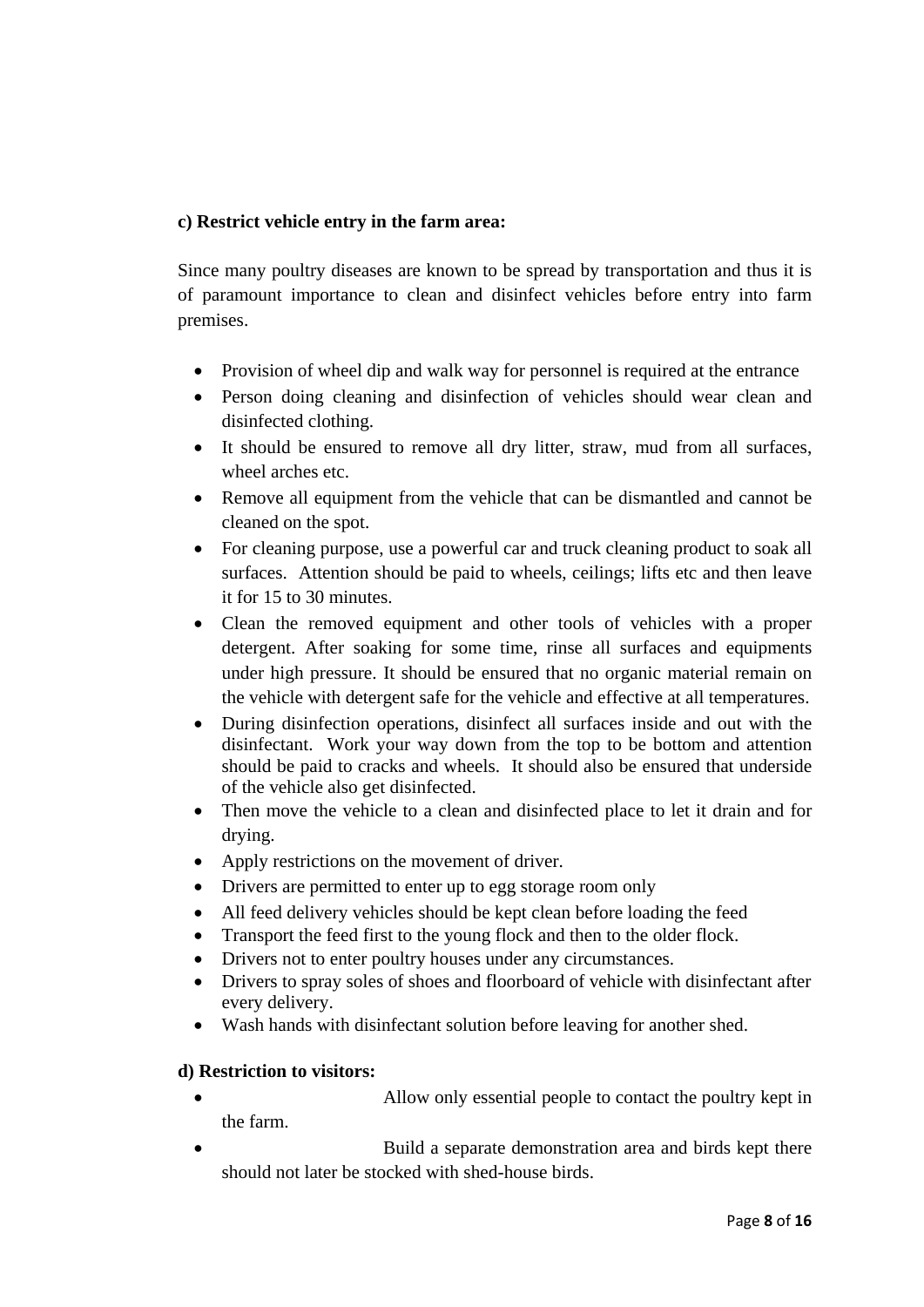# **c) Restrict vehicle entry in the farm area:**

Since many poultry diseases are known to be spread by transportation and thus it is of paramount importance to clean and disinfect vehicles before entry into farm premises.

- Provision of wheel dip and walk way for personnel is required at the entrance
- Person doing cleaning and disinfection of vehicles should wear clean and disinfected clothing.
- It should be ensured to remove all dry litter, straw, mud from all surfaces, wheel arches etc.
- Remove all equipment from the vehicle that can be dismantled and cannot be cleaned on the spot.
- For cleaning purpose, use a powerful car and truck cleaning product to soak all surfaces. Attention should be paid to wheels, ceilings; lifts etc and then leave it for 15 to 30 minutes.
- Clean the removed equipment and other tools of vehicles with a proper detergent. After soaking for some time, rinse all surfaces and equipments under high pressure. It should be ensured that no organic material remain on the vehicle with detergent safe for the vehicle and effective at all temperatures.
- During disinfection operations, disinfect all surfaces inside and out with the disinfectant. Work your way down from the top to be bottom and attention should be paid to cracks and wheels. It should also be ensured that underside of the vehicle also get disinfected.
- Then move the vehicle to a clean and disinfected place to let it drain and for drying.
- Apply restrictions on the movement of driver.
- Drivers are permitted to enter up to egg storage room only
- All feed delivery vehicles should be kept clean before loading the feed
- Transport the feed first to the young flock and then to the older flock.
- Drivers not to enter poultry houses under any circumstances.
- Drivers to spray soles of shoes and floorboard of vehicle with disinfectant after every delivery.
- Wash hands with disinfectant solution before leaving for another shed.

# **d) Restriction to visitors:**

- Allow only essential people to contact the poultry kept in the farm.
- Build a separate demonstration area and birds kept there should not later be stocked with shed-house birds.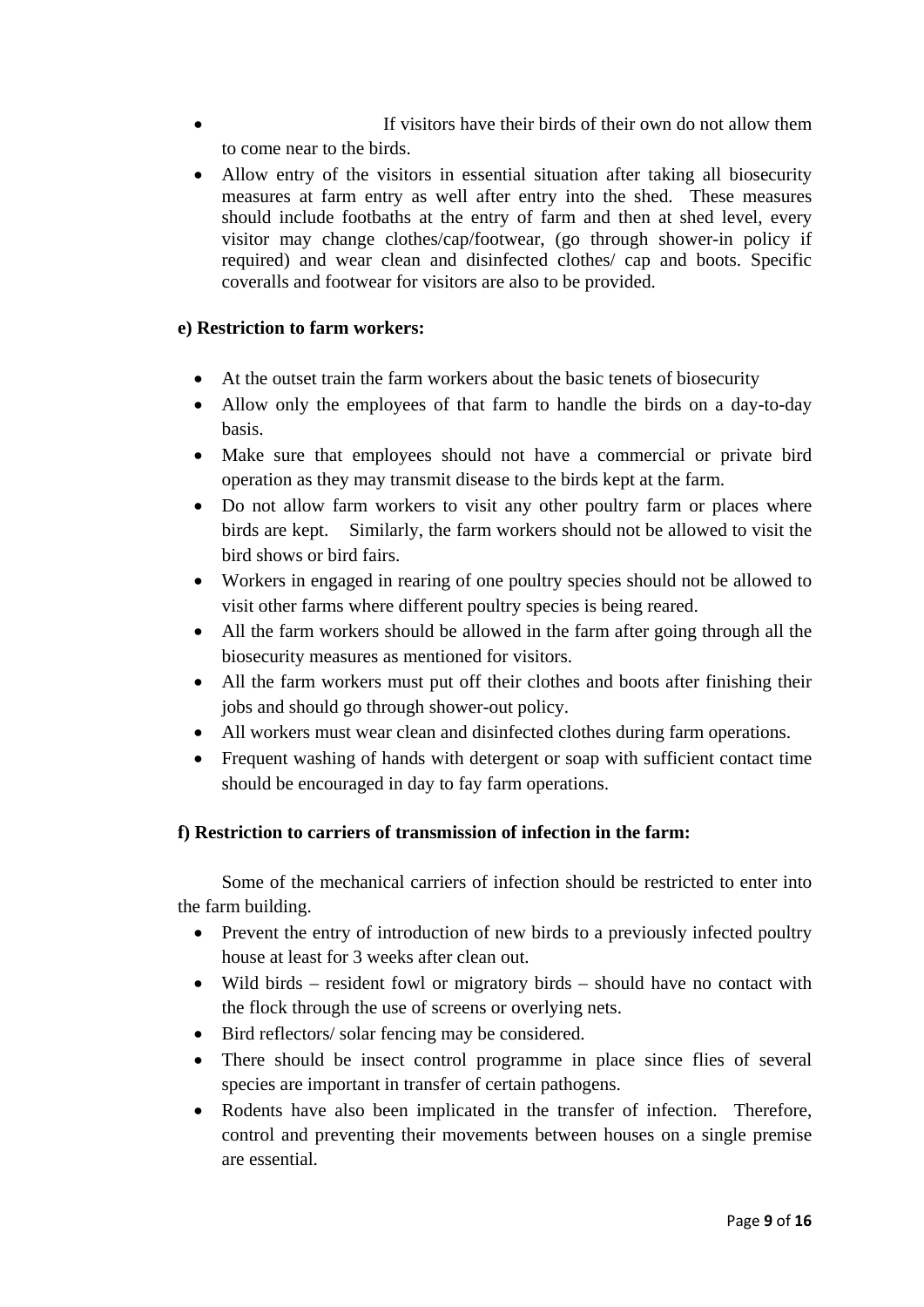- **If visitors have their birds of their own do not allow them** to come near to the birds.
- Allow entry of the visitors in essential situation after taking all biosecurity measures at farm entry as well after entry into the shed. These measures should include footbaths at the entry of farm and then at shed level, every visitor may change clothes/cap/footwear, (go through shower-in policy if required) and wear clean and disinfected clothes/ cap and boots. Specific coveralls and footwear for visitors are also to be provided.

## **e) Restriction to farm workers:**

- At the outset train the farm workers about the basic tenets of biosecurity
- Allow only the employees of that farm to handle the birds on a day-to-day basis.
- Make sure that employees should not have a commercial or private bird operation as they may transmit disease to the birds kept at the farm.
- Do not allow farm workers to visit any other poultry farm or places where birds are kept. Similarly, the farm workers should not be allowed to visit the bird shows or bird fairs.
- Workers in engaged in rearing of one poultry species should not be allowed to visit other farms where different poultry species is being reared.
- All the farm workers should be allowed in the farm after going through all the biosecurity measures as mentioned for visitors.
- All the farm workers must put off their clothes and boots after finishing their jobs and should go through shower-out policy.
- All workers must wear clean and disinfected clothes during farm operations.
- Frequent washing of hands with detergent or soap with sufficient contact time should be encouraged in day to fay farm operations.

# **f) Restriction to carriers of transmission of infection in the farm:**

 Some of the mechanical carriers of infection should be restricted to enter into the farm building.

- Prevent the entry of introduction of new birds to a previously infected poultry house at least for 3 weeks after clean out.
- Wild birds resident fowl or migratory birds should have no contact with the flock through the use of screens or overlying nets.
- Bird reflectors/ solar fencing may be considered.
- There should be insect control programme in place since flies of several species are important in transfer of certain pathogens.
- Rodents have also been implicated in the transfer of infection. Therefore, control and preventing their movements between houses on a single premise are essential.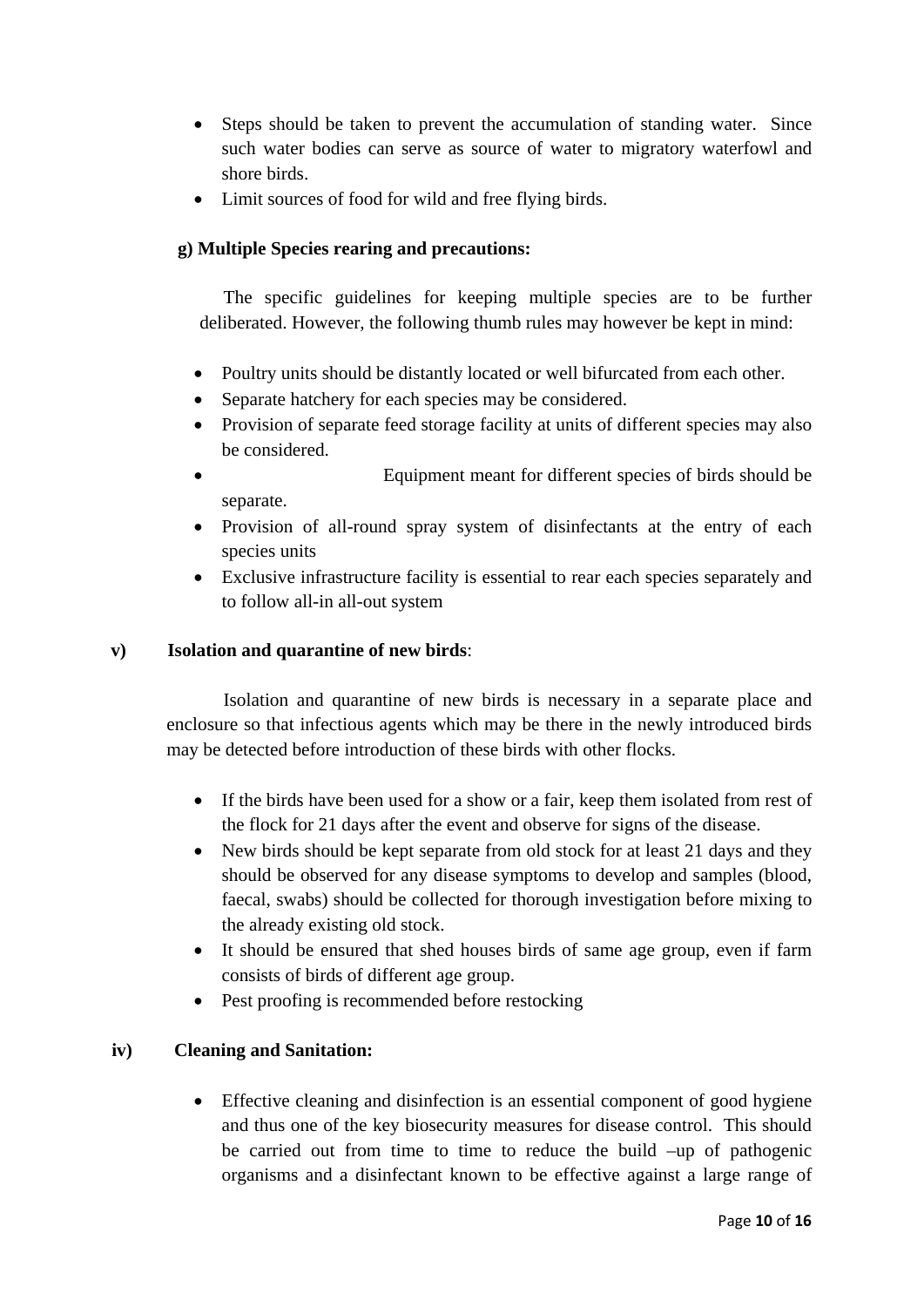- Steps should be taken to prevent the accumulation of standing water. Since such water bodies can serve as source of water to migratory waterfowl and shore birds.
- Limit sources of food for wild and free flying birds.

# **g) Multiple Species rearing and precautions:**

 The specific guidelines for keeping multiple species are to be further deliberated. However, the following thumb rules may however be kept in mind:

- Poultry units should be distantly located or well bifurcated from each other.
- Separate hatchery for each species may be considered.
- Provision of separate feed storage facility at units of different species may also be considered.
- Equipment meant for different species of birds should be separate.
- Provision of all-round spray system of disinfectants at the entry of each species units
- Exclusive infrastructure facility is essential to rear each species separately and to follow all-in all-out system

# **v) Isolation and quarantine of new birds**:

 Isolation and quarantine of new birds is necessary in a separate place and enclosure so that infectious agents which may be there in the newly introduced birds may be detected before introduction of these birds with other flocks.

- If the birds have been used for a show or a fair, keep them isolated from rest of the flock for 21 days after the event and observe for signs of the disease.
- New birds should be kept separate from old stock for at least 21 days and they should be observed for any disease symptoms to develop and samples (blood, faecal, swabs) should be collected for thorough investigation before mixing to the already existing old stock.
- It should be ensured that shed houses birds of same age group, even if farm consists of birds of different age group.
- Pest proofing is recommended before restocking

# **iv) Cleaning and Sanitation:**

• Effective cleaning and disinfection is an essential component of good hygiene and thus one of the key biosecurity measures for disease control. This should be carried out from time to time to reduce the build –up of pathogenic organisms and a disinfectant known to be effective against a large range of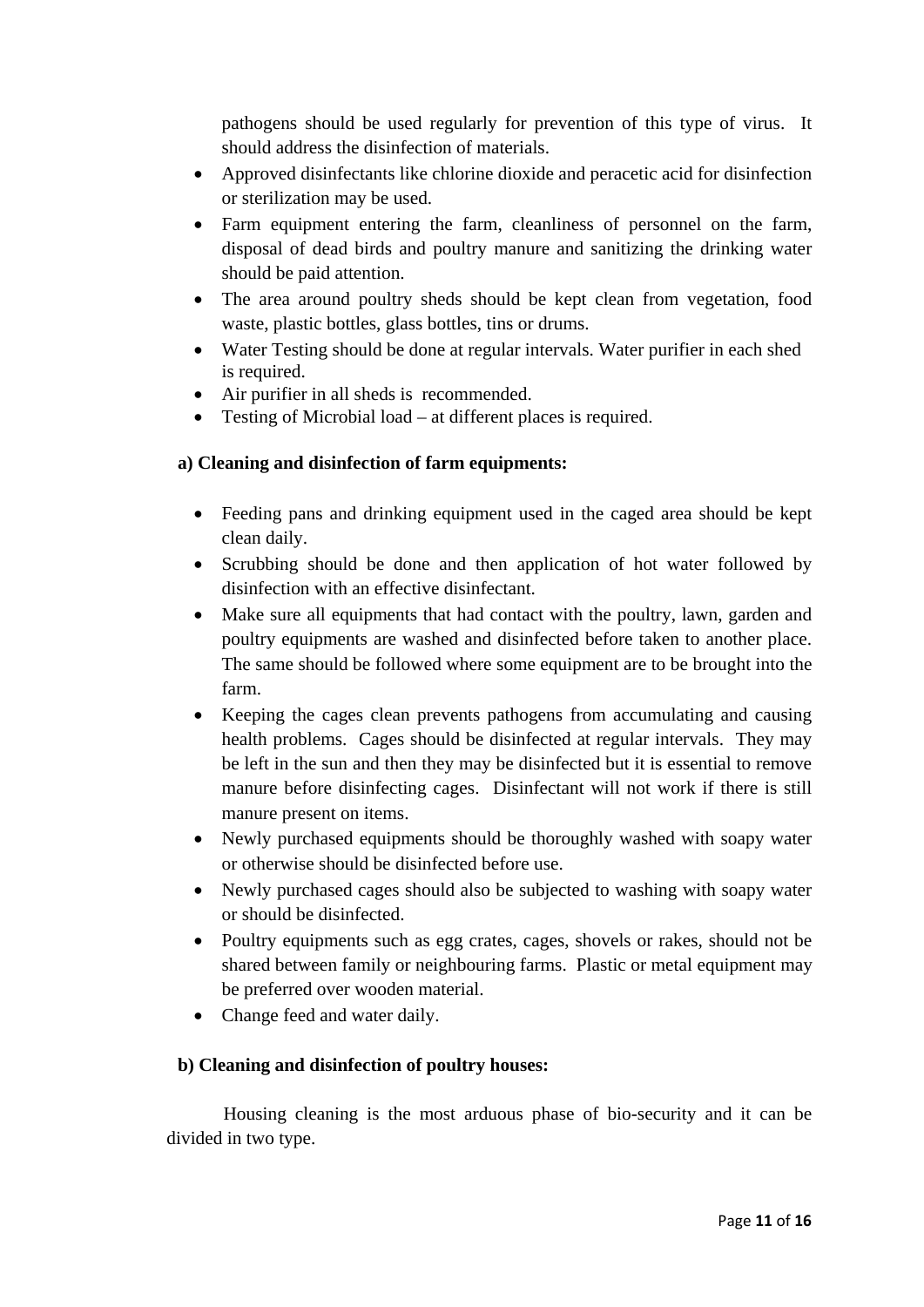pathogens should be used regularly for prevention of this type of virus. It should address the disinfection of materials.

- Approved disinfectants like chlorine dioxide and peracetic acid for disinfection or sterilization may be used.
- Farm equipment entering the farm, cleanliness of personnel on the farm, disposal of dead birds and poultry manure and sanitizing the drinking water should be paid attention.
- The area around poultry sheds should be kept clean from vegetation, food waste, plastic bottles, glass bottles, tins or drums.
- Water Testing should be done at regular intervals. Water purifier in each shed is required.
- Air purifier in all sheds is recommended.
- Testing of Microbial load at different places is required.

# **a) Cleaning and disinfection of farm equipments:**

- Feeding pans and drinking equipment used in the caged area should be kept clean daily.
- Scrubbing should be done and then application of hot water followed by disinfection with an effective disinfectant.
- Make sure all equipments that had contact with the poultry, lawn, garden and poultry equipments are washed and disinfected before taken to another place. The same should be followed where some equipment are to be brought into the farm.
- Keeping the cages clean prevents pathogens from accumulating and causing health problems. Cages should be disinfected at regular intervals. They may be left in the sun and then they may be disinfected but it is essential to remove manure before disinfecting cages. Disinfectant will not work if there is still manure present on items.
- Newly purchased equipments should be thoroughly washed with soapy water or otherwise should be disinfected before use.
- Newly purchased cages should also be subjected to washing with soapy water or should be disinfected.
- Poultry equipments such as egg crates, cages, shovels or rakes, should not be shared between family or neighbouring farms. Plastic or metal equipment may be preferred over wooden material.
- Change feed and water daily.

# **b) Cleaning and disinfection of poultry houses:**

 Housing cleaning is the most arduous phase of bio-security and it can be divided in two type.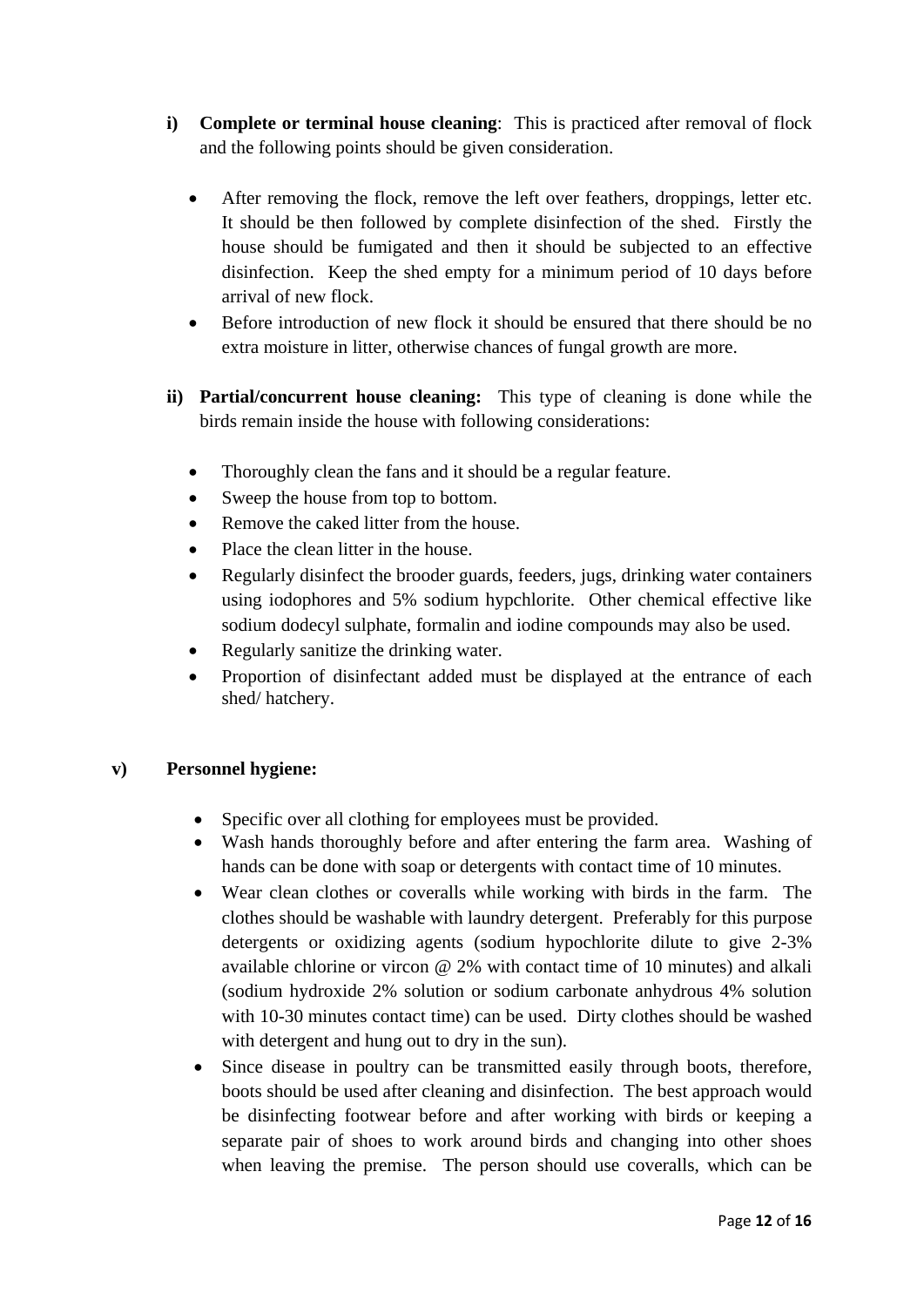- **i) Complete or terminal house cleaning**: This is practiced after removal of flock and the following points should be given consideration.
	- After removing the flock, remove the left over feathers, droppings, letter etc. It should be then followed by complete disinfection of the shed. Firstly the house should be fumigated and then it should be subjected to an effective disinfection. Keep the shed empty for a minimum period of 10 days before arrival of new flock.
	- Before introduction of new flock it should be ensured that there should be no extra moisture in litter, otherwise chances of fungal growth are more.
- **ii) Partial/concurrent house cleaning:** This type of cleaning is done while the birds remain inside the house with following considerations:
	- Thoroughly clean the fans and it should be a regular feature.
	- Sweep the house from top to bottom.
	- Remove the caked litter from the house.
	- Place the clean litter in the house.
	- Regularly disinfect the brooder guards, feeders, jugs, drinking water containers using iodophores and 5% sodium hypchlorite. Other chemical effective like sodium dodecyl sulphate, formalin and iodine compounds may also be used.
	- Regularly sanitize the drinking water.
	- Proportion of disinfectant added must be displayed at the entrance of each shed/ hatchery.

# **v) Personnel hygiene:**

- Specific over all clothing for employees must be provided.
- Wash hands thoroughly before and after entering the farm area. Washing of hands can be done with soap or detergents with contact time of 10 minutes.
- Wear clean clothes or coveralls while working with birds in the farm. The clothes should be washable with laundry detergent. Preferably for this purpose detergents or oxidizing agents (sodium hypochlorite dilute to give 2-3% available chlorine or vircon @ 2% with contact time of 10 minutes) and alkali (sodium hydroxide 2% solution or sodium carbonate anhydrous 4% solution with 10-30 minutes contact time) can be used. Dirty clothes should be washed with detergent and hung out to dry in the sun).
- Since disease in poultry can be transmitted easily through boots, therefore, boots should be used after cleaning and disinfection. The best approach would be disinfecting footwear before and after working with birds or keeping a separate pair of shoes to work around birds and changing into other shoes when leaving the premise. The person should use coveralls, which can be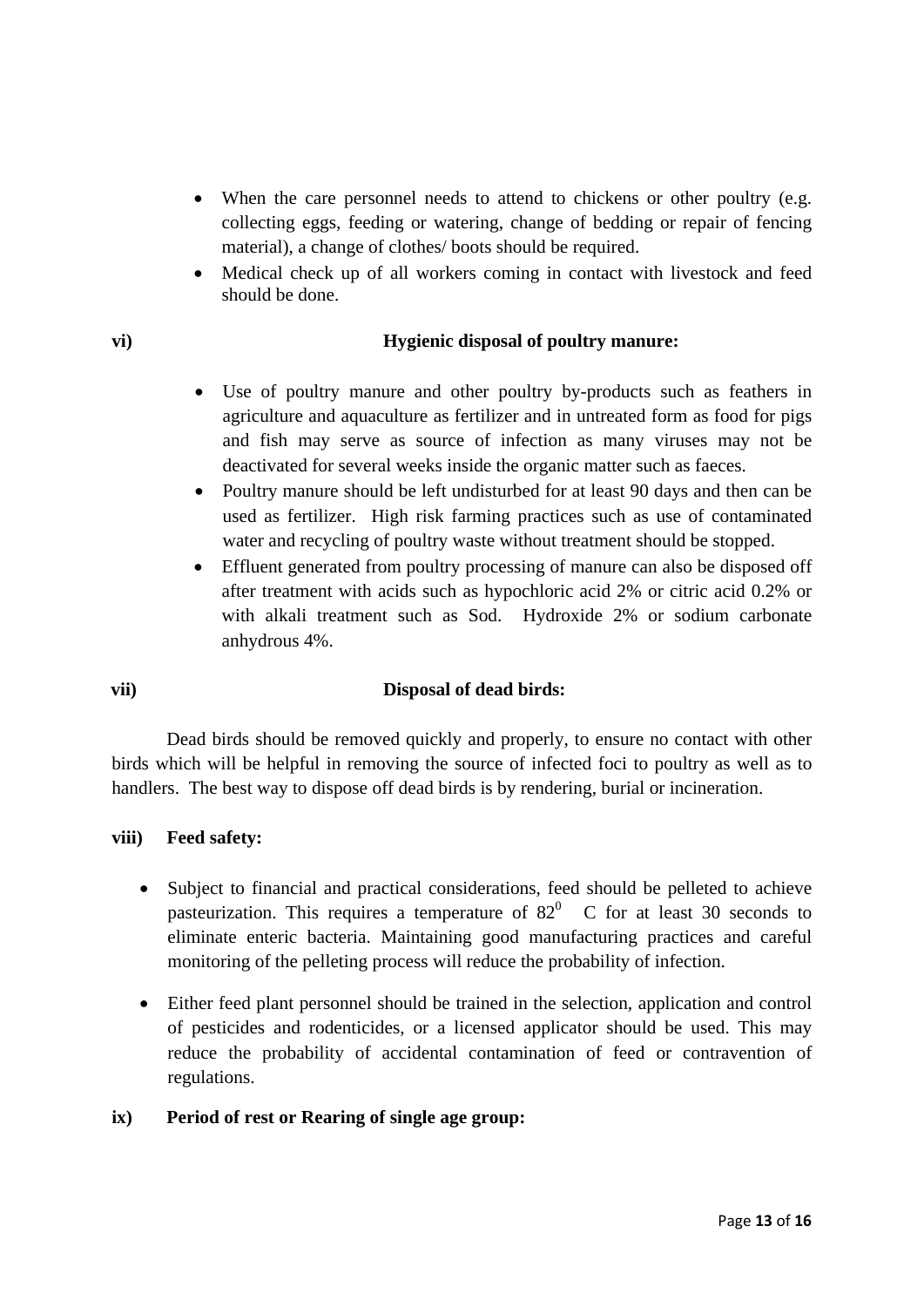- When the care personnel needs to attend to chickens or other poultry (e.g. collecting eggs, feeding or watering, change of bedding or repair of fencing material), a change of clothes/ boots should be required.
- Medical check up of all workers coming in contact with livestock and feed should be done.

## **vi) Hygienic disposal of poultry manure:**

- Use of poultry manure and other poultry by-products such as feathers in agriculture and aquaculture as fertilizer and in untreated form as food for pigs and fish may serve as source of infection as many viruses may not be deactivated for several weeks inside the organic matter such as faeces.
- Poultry manure should be left undisturbed for at least 90 days and then can be used as fertilizer. High risk farming practices such as use of contaminated water and recycling of poultry waste without treatment should be stopped.
- Effluent generated from poultry processing of manure can also be disposed off after treatment with acids such as hypochloric acid 2% or citric acid 0.2% or with alkali treatment such as Sod. Hydroxide 2% or sodium carbonate anhydrous 4%.

# **vii) Disposal of dead birds:**

 Dead birds should be removed quickly and properly, to ensure no contact with other birds which will be helpful in removing the source of infected foci to poultry as well as to handlers. The best way to dispose off dead birds is by rendering, burial or incineration.

# **viii) Feed safety:**

- Subject to financial and practical considerations, feed should be pelleted to achieve pasteurization. This requires a temperature of  $82<sup>0</sup>$  C for at least 30 seconds to eliminate enteric bacteria. Maintaining good manufacturing practices and careful monitoring of the pelleting process will reduce the probability of infection.
- Either feed plant personnel should be trained in the selection, application and control of pesticides and rodenticides, or a licensed applicator should be used. This may reduce the probability of accidental contamination of feed or contravention of regulations.

## **ix) Period of rest or Rearing of single age group:**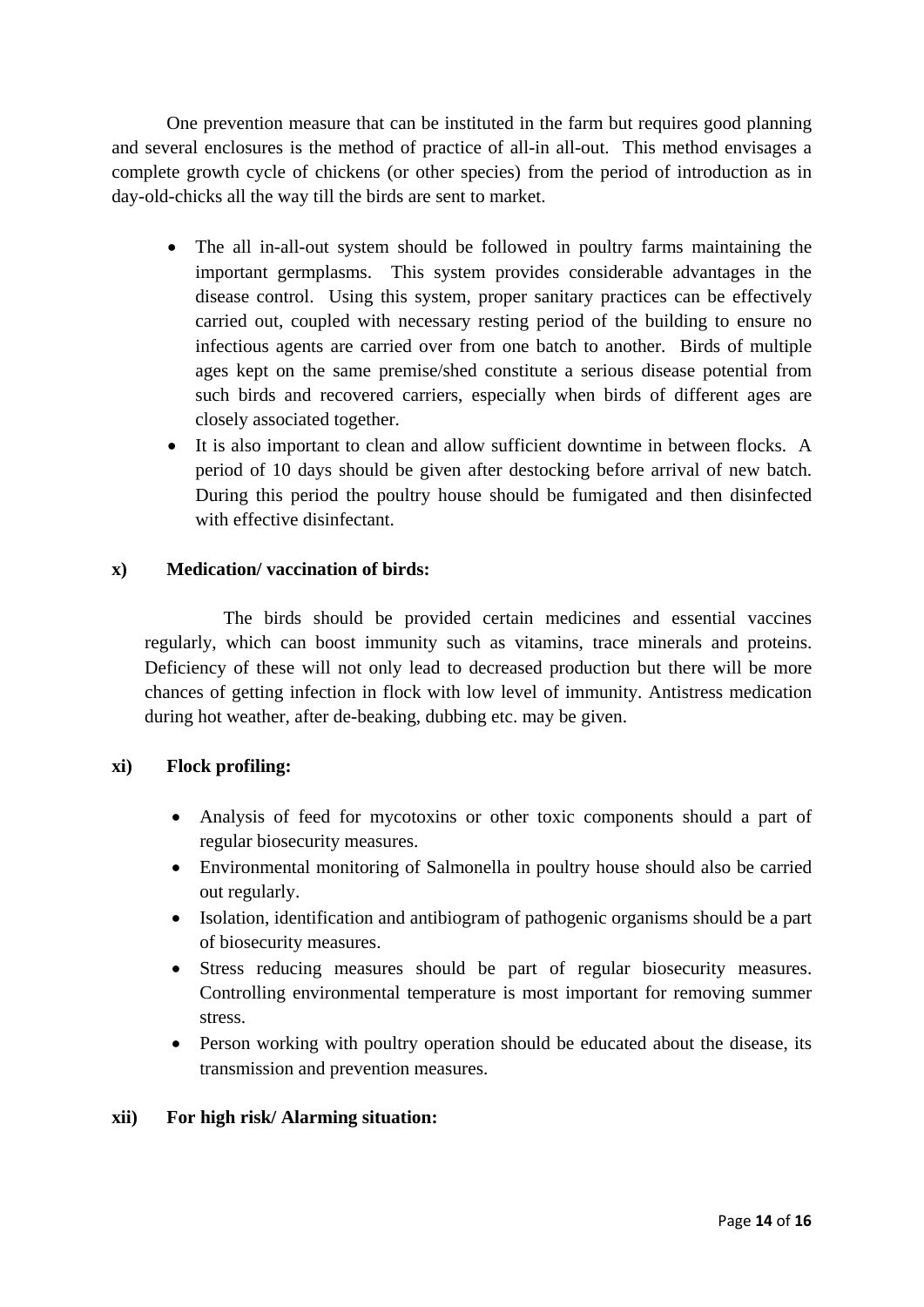One prevention measure that can be instituted in the farm but requires good planning and several enclosures is the method of practice of all-in all-out. This method envisages a complete growth cycle of chickens (or other species) from the period of introduction as in day-old-chicks all the way till the birds are sent to market.

- The all in-all-out system should be followed in poultry farms maintaining the important germplasms. This system provides considerable advantages in the disease control. Using this system, proper sanitary practices can be effectively carried out, coupled with necessary resting period of the building to ensure no infectious agents are carried over from one batch to another. Birds of multiple ages kept on the same premise/shed constitute a serious disease potential from such birds and recovered carriers, especially when birds of different ages are closely associated together.
- It is also important to clean and allow sufficient downtime in between flocks. A period of 10 days should be given after destocking before arrival of new batch. During this period the poultry house should be fumigated and then disinfected with effective disinfectant.

## **x) Medication/ vaccination of birds:**

 The birds should be provided certain medicines and essential vaccines regularly, which can boost immunity such as vitamins, trace minerals and proteins. Deficiency of these will not only lead to decreased production but there will be more chances of getting infection in flock with low level of immunity. Antistress medication during hot weather, after de-beaking, dubbing etc. may be given.

## **xi) Flock profiling:**

- Analysis of feed for mycotoxins or other toxic components should a part of regular biosecurity measures.
- Environmental monitoring of Salmonella in poultry house should also be carried out regularly.
- Isolation, identification and antibiogram of pathogenic organisms should be a part of biosecurity measures.
- Stress reducing measures should be part of regular biosecurity measures. Controlling environmental temperature is most important for removing summer stress.
- Person working with poultry operation should be educated about the disease, its transmission and prevention measures.

## **xii) For high risk/ Alarming situation:**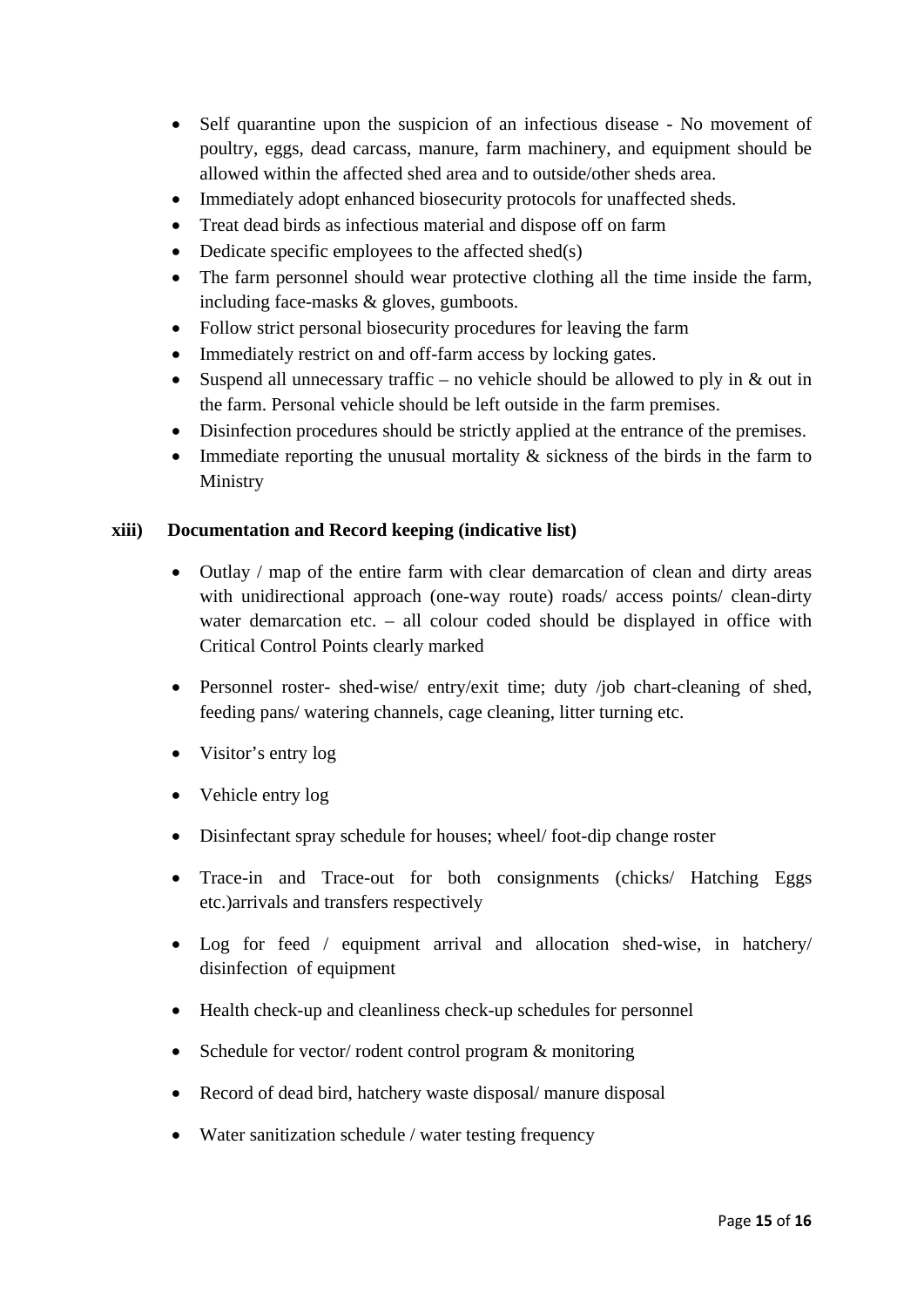- Self quarantine upon the suspicion of an infectious disease No movement of poultry, eggs, dead carcass, manure, farm machinery, and equipment should be allowed within the affected shed area and to outside/other sheds area.
- Immediately adopt enhanced biosecurity protocols for unaffected sheds.
- Treat dead birds as infectious material and dispose off on farm
- Dedicate specific employees to the affected shed(s)
- The farm personnel should wear protective clothing all the time inside the farm, including face-masks & gloves, gumboots.
- Follow strict personal biosecurity procedures for leaving the farm
- Immediately restrict on and off-farm access by locking gates.
- Suspend all unnecessary traffic no vehicle should be allowed to ply in  $&$  out in the farm. Personal vehicle should be left outside in the farm premises.
- Disinfection procedures should be strictly applied at the entrance of the premises.
- Immediate reporting the unusual mortality  $\&$  sickness of the birds in the farm to Ministry

## **xiii) Documentation and Record keeping (indicative list)**

- Outlay / map of the entire farm with clear demarcation of clean and dirty areas with unidirectional approach (one-way route) roads/ access points/ clean-dirty water demarcation etc. – all colour coded should be displayed in office with Critical Control Points clearly marked
- Personnel roster- shed-wise/ entry/exit time; duty /job chart-cleaning of shed, feeding pans/ watering channels, cage cleaning, litter turning etc.
- Visitor's entry log
- Vehicle entry log
- Disinfectant spray schedule for houses; wheel/ foot-dip change roster
- Trace-in and Trace-out for both consignments (chicks/ Hatching Eggs etc.)arrivals and transfers respectively
- Log for feed / equipment arrival and allocation shed-wise, in hatchery/ disinfection of equipment
- Health check-up and cleanliness check-up schedules for personnel
- Schedule for vector/ rodent control program & monitoring
- Record of dead bird, hatchery waste disposal/ manure disposal
- Water sanitization schedule / water testing frequency